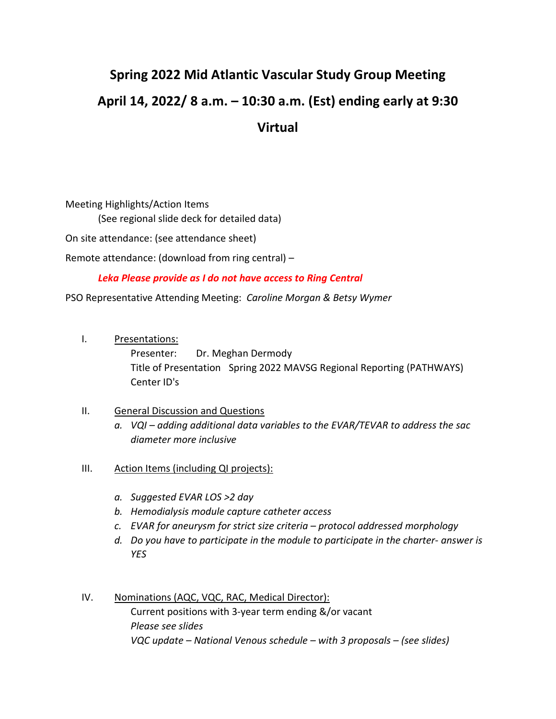## **Spring 2022 Mid Atlantic Vascular Study Group Meeting April 14, 2022/ 8 a.m. – 10:30 a.m. (Est) ending early at 9:30 Virtual**

Meeting Highlights/Action Items (See regional slide deck for detailed data) On site attendance: (see attendance sheet) Remote attendance: (download from ring central) –

*Leka Please provide as I do not have access to Ring Central* 

PSO Representative Attending Meeting: *Caroline Morgan & Betsy Wymer* 

I. Presentations:

Presenter: Dr. Meghan Dermody Title of Presentation Spring 2022 MAVSG Regional Reporting (PATHWAYS) Center ID's

## II. General Discussion and Questions

- *a. VQI – adding additional data variables to the EVAR/TEVAR to address the sac diameter more inclusive*
- III. Action Items (including QI projects):
	- *a. Suggested EVAR LOS >2 day*
	- *b. Hemodialysis module capture catheter access*
	- *c. EVAR for aneurysm for strict size criteria – protocol addressed morphology*
	- *d. Do you have to participate in the module to participate in the charter- answer is YES*
- IV. Nominations (AQC, VQC, RAC, Medical Director): Current positions with 3-year term ending &/or vacant *Please see slides VQC update – National Venous schedule – with 3 proposals – (see slides)*